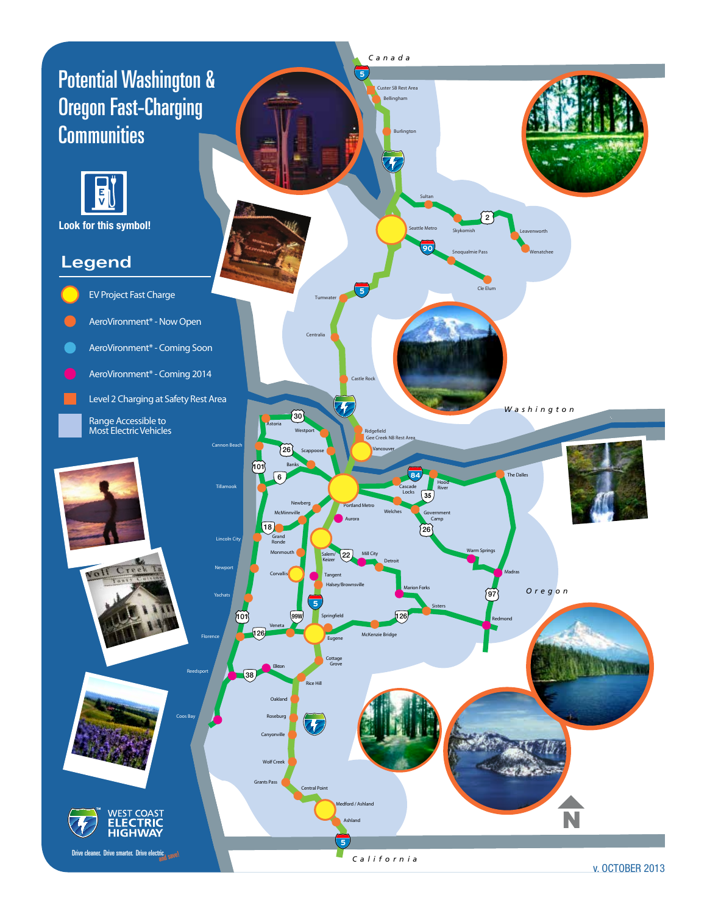